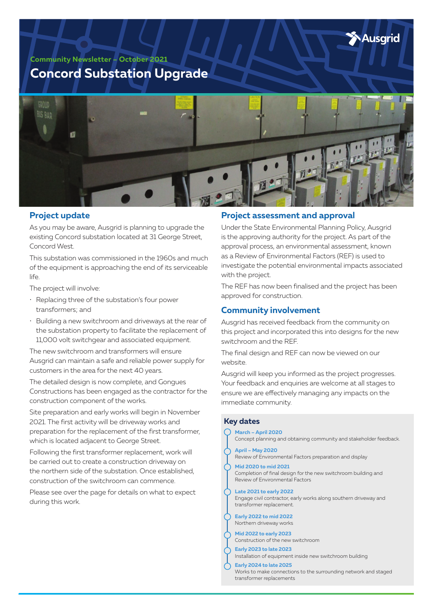Ausarid

**Community Newsletter – October 2021**

# **Concord Substation Upgrade**



## **Project update**

As you may be aware, Ausgrid is planning to upgrade the existing Concord substation located at 31 George Street, Concord West.

This substation was commissioned in the 1960s and much of the equipment is approaching the end of its serviceable life.

The project will involve:

- Replacing three of the substation's four power transformers; and
- Building a new switchroom and driveways at the rear of the substation property to facilitate the replacement of 11,000 volt switchgear and associated equipment.

The new switchroom and transformers will ensure Ausgrid can maintain a safe and reliable power supply for customers in the area for the next 40 years.

The detailed design is now complete, and Gongues Constructions has been engaged as the contractor for the construction component of the works.

Site preparation and early works will begin in November 2021. The first activity will be driveway works and preparation for the replacement of the first transformer, which is located adjacent to George Street.

Following the first transformer replacement, work will be carried out to create a construction driveway on the northern side of the substation. Once established, construction of the switchroom can commence.

Please see over the page for details on what to expect during this work.

## **Project assessment and approval**

Under the State Environmental Planning Policy, Ausgrid is the approving authority for the project. As part of the approval process, an environmental assessment, known as a Review of Environmental Factors (REF) is used to investigate the potential environmental impacts associated with the project.

The REF has now been finalised and the project has been approved for construction.

# **Community involvement**

Ausgrid has received feedback from the community on this project and incorporated this into designs for the new switchroom and the REF.

The final design and REF can now be viewed on our website.

Ausgrid will keep you informed as the project progresses. Your feedback and enquiries are welcome at all stages to ensure we are effectively managing any impacts on the immediate community.

#### **Key dates**

**March – April 2020** Concept planning and obtaining community and stakeholder feedback. **April – May 2020** Review of Environmental Factors preparation and display **Mid 2020 to mid 2021** Completion of final design for the new switchroom building and Review of Environmental Factors **Late 2021 to early 2022** Engage civil contractor, early works along southern driveway and transformer replacement. **Early 2022 to mid 2022** Northern driveway works **Mid 2022 to early 2023** Construction of the new switchroom **Early 2023 to late 2023** Installation of equipment inside new switchroom building **Early 2024 to late 2025** Works to make connections to the surrounding network and staged transformer replacements